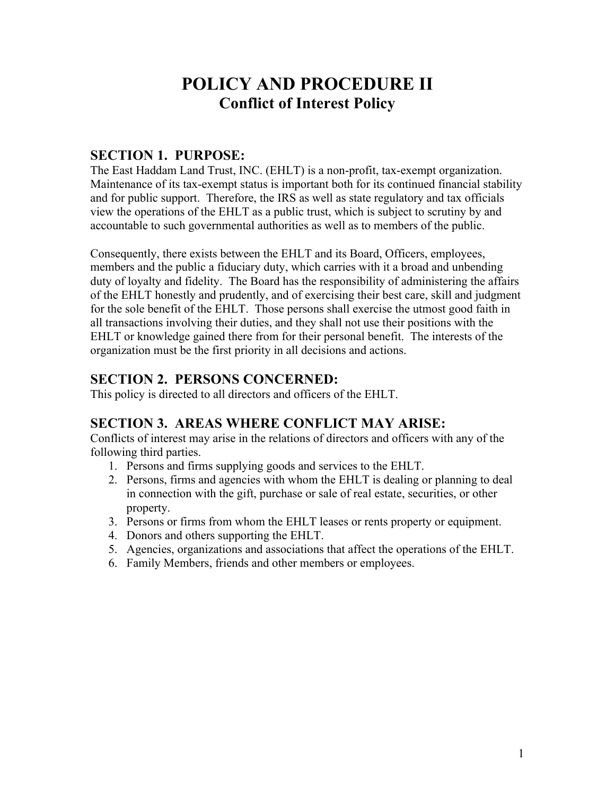# **POLICY AND PROCEDURE II Conflict of Interest Policy**

### **SECTION 1. PURPOSE:**

The East Haddam Land Trust, INC. (EHLT) is a non-profit, tax-exempt organization. Maintenance of its tax-exempt status is important both for its continued financial stability and for public support. Therefore, the IRS as well as state regulatory and tax officials view the operations of the EHLT as a public trust, which is subject to scrutiny by and accountable to such governmental authorities as well as to members of the public.

Consequently, there exists between the EHLT and its Board, Officers, employees, members and the public a fiduciary duty, which carries with it a broad and unbending duty of loyalty and fidelity. The Board has the responsibility of administering the affairs of the EHLT honestly and prudently, and of exercising their best care, skill and judgment for the sole benefit of the EHLT. Those persons shall exercise the utmost good faith in all transactions involving their duties, and they shall not use their positions with the EHLT or knowledge gained there from for their personal benefit. The interests of the organization must be the first priority in all decisions and actions.

# **SECTION 2. PERSONS CONCERNED:**

This policy is directed to all directors and officers of the EHLT.

#### **SECTION 3. AREAS WHERE CONFLICT MAY ARISE:**

Conflicts of interest may arise in the relations of directors and officers with any of the following third parties.

- 1. Persons and firms supplying goods and services to the EHLT.
- 2. Persons, firms and agencies with whom the EHLT is dealing or planning to deal in connection with the gift, purchase or sale of real estate, securities, or other property.
- 3. Persons or firms from whom the EHLT leases or rents property or equipment.
- 4. Donors and others supporting the EHLT.
- 5. Agencies, organizations and associations that affect the operations of the EHLT.
- 6. Family Members, friends and other members or employees.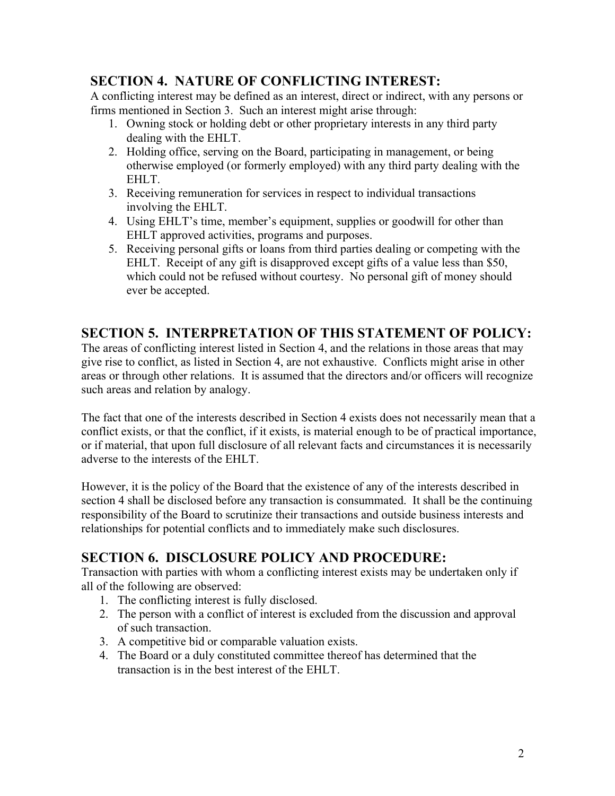# **SECTION 4. NATURE OF CONFLICTING INTEREST:**

A conflicting interest may be defined as an interest, direct or indirect, with any persons or firms mentioned in Section 3. Such an interest might arise through:

- 1. Owning stock or holding debt or other proprietary interests in any third party dealing with the EHLT.
- 2. Holding office, serving on the Board, participating in management, or being otherwise employed (or formerly employed) with any third party dealing with the EHLT.
- 3. Receiving remuneration for services in respect to individual transactions involving the EHLT.
- 4. Using EHLT's time, member's equipment, supplies or goodwill for other than EHLT approved activities, programs and purposes.
- 5. Receiving personal gifts or loans from third parties dealing or competing with the EHLT. Receipt of any gift is disapproved except gifts of a value less than \$50, which could not be refused without courtesy. No personal gift of money should ever be accepted.

# **SECTION 5. INTERPRETATION OF THIS STATEMENT OF POLICY:**

The areas of conflicting interest listed in Section 4, and the relations in those areas that may give rise to conflict, as listed in Section 4, are not exhaustive. Conflicts might arise in other areas or through other relations. It is assumed that the directors and/or officers will recognize such areas and relation by analogy.

The fact that one of the interests described in Section 4 exists does not necessarily mean that a conflict exists, or that the conflict, if it exists, is material enough to be of practical importance, or if material, that upon full disclosure of all relevant facts and circumstances it is necessarily adverse to the interests of the EHLT.

However, it is the policy of the Board that the existence of any of the interests described in section 4 shall be disclosed before any transaction is consummated. It shall be the continuing responsibility of the Board to scrutinize their transactions and outside business interests and relationships for potential conflicts and to immediately make such disclosures.

# **SECTION 6. DISCLOSURE POLICY AND PROCEDURE:**

Transaction with parties with whom a conflicting interest exists may be undertaken only if all of the following are observed:

- 1. The conflicting interest is fully disclosed.
- 2. The person with a conflict of interest is excluded from the discussion and approval of such transaction.
- 3. A competitive bid or comparable valuation exists.
- 4. The Board or a duly constituted committee thereof has determined that the transaction is in the best interest of the EHLT.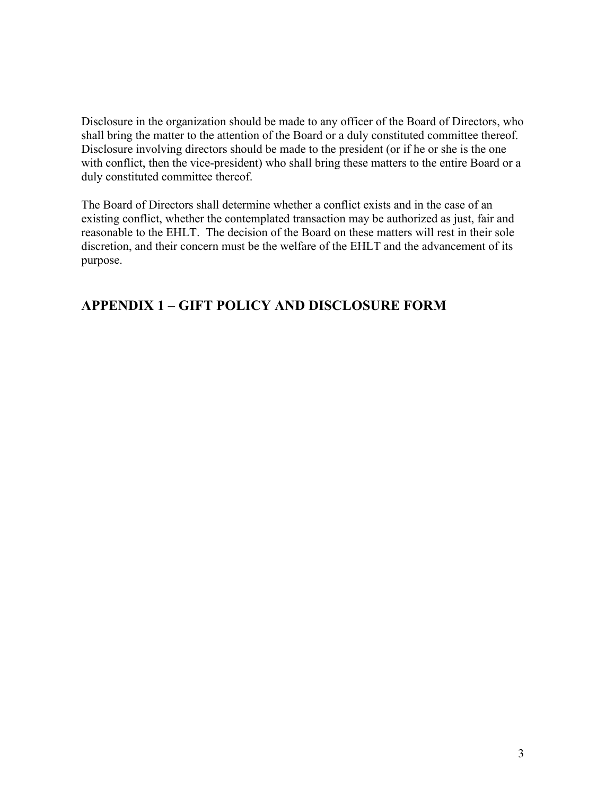Disclosure in the organization should be made to any officer of the Board of Directors, who shall bring the matter to the attention of the Board or a duly constituted committee thereof. Disclosure involving directors should be made to the president (or if he or she is the one with conflict, then the vice-president) who shall bring these matters to the entire Board or a duly constituted committee thereof.

The Board of Directors shall determine whether a conflict exists and in the case of an existing conflict, whether the contemplated transaction may be authorized as just, fair and reasonable to the EHLT. The decision of the Board on these matters will rest in their sole discretion, and their concern must be the welfare of the EHLT and the advancement of its purpose.

### **APPENDIX 1 – GIFT POLICY AND DISCLOSURE FORM**